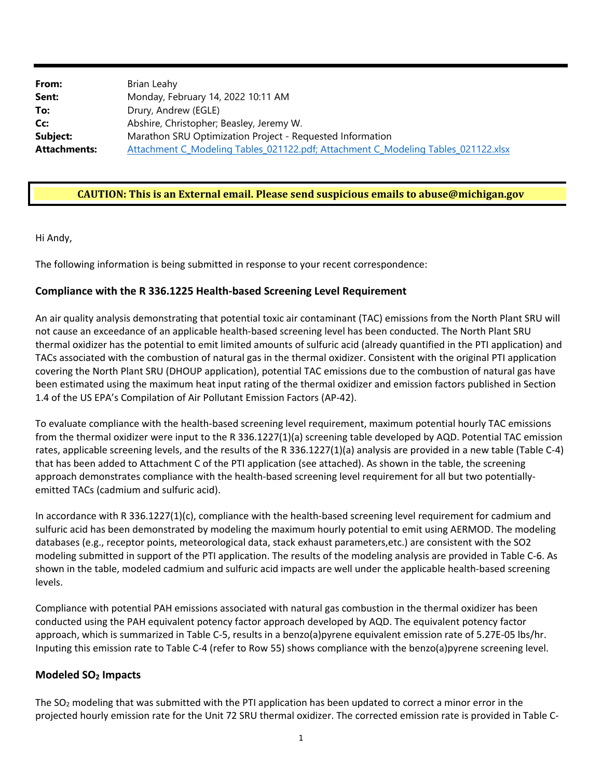| From:               | Brian Leahy                                                                       |
|---------------------|-----------------------------------------------------------------------------------|
| Sent:               | Monday, February 14, 2022 10:11 AM                                                |
| To:                 | Drury, Andrew (EGLE)                                                              |
| Cc:                 | Abshire, Christopher; Beasley, Jeremy W.                                          |
| Subject:            | Marathon SRU Optimization Project - Requested Information                         |
| <b>Attachments:</b> | Attachment C_Modeling Tables_021122.pdf; Attachment C_Modeling Tables_021122.xlsx |

### **CAUTION: This is an External email. Please send suspicious emails to [abuse@michigan.gov](mailto:abuse@michigan.gov)**

Hi Andy,

The following information is being submitted in response to your recent correspondence:

#### **Compliance with the R 336.1225 Health‐based Screening Level Requirement**

 An air quality analysis demonstrating that potential toxic air contaminant (TAC) emissions from the North Plant SRU will not cause an exceedance of an applicable health‐based screening level has been conducted. The North Plant SRU thermal oxidizer has the potential to emit limited amounts of sulfuric acid (already quantified in the PTI application) and TACs associated with the combustion of natural gas in the thermal oxidizer. Consistent with the original PTI application covering the North Plant SRU (DHOUP application), potential TAC emissions due to the combustion of natural gas have been estimated using the maximum heat input rating of the thermal oxidizer and emission factors published in Section 1.4 of the US EPA's Compilation of Air Pollutant Emission Factors (AP‐42).

 To evaluate compliance with the health‐based screening level requirement, maximum potential hourly TAC emissions from the thermal oxidizer were input to the R 336.1227(1)(a) screening table developed by AQD. Potential TAC emission rates, applicable screening levels, and the results of the R 336.1227(1)(a) analysis are provided in a new table (Table C‐4) that has been added to Attachment C of the PTI application (see attached). As shown in the table, the screening approach demonstrates compliance with the health‐based screening level requirement for all but two potentially‐ emitted TACs (cadmium and sulfuric acid).

 In accordance with R 336.1227(1)(c), compliance with the health‐based screening level requirement for cadmium and sulfuric acid has been demonstrated by modeling the maximum hourly potential to emit using AERMOD. The modeling databases (e.g., receptor points, meteorological data, stack exhaust parameters,etc.) are consistent with the SO2 modeling submitted in support of the PTI application. The results of the modeling analysis are provided in Table C‐6. As shown in the table, modeled cadmium and sulfuric acid impacts are well under the applicable health‐based screening levels.

 Compliance with potential PAH emissions associated with natural gas combustion in the thermal oxidizer has been conducted using the PAH equivalent potency factor approach developed by AQD. The equivalent potency factor approach, which is summarized in Table C‐5, results in a benzo(a)pyrene equivalent emission rate of 5.27E‐05 lbs/hr. Inputing this emission rate to Table C‐4 (refer to Row 55) shows compliance with the benzo(a)pyrene screening level.

# **Modeled SO2 Impacts**

The SO<sub>2</sub> modeling that was submitted with the PTI application has been updated to correct a minor error in the projected hourly emission rate for the Unit 72 SRU thermal oxidizer. The corrected emission rate is provided in Table C‐